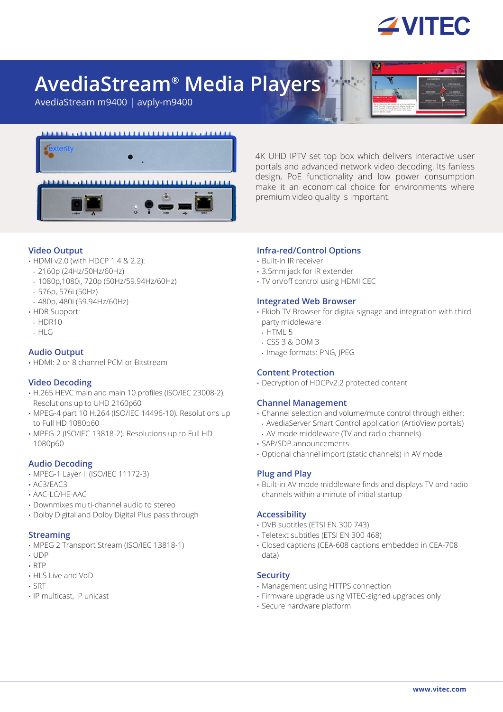

# **AvediaStream® Media Players**

AvediaStream m9400 | avply-m9400



4K UHD IPTV set top box which delivers interactive user portals and advanced network video decoding. Its fanless design, PoE functionality and low power consumption make it an economical choice for environments where premium video quality is important.

# **Video Output**

- HDMI v2.0 (with HDCP 1.4 & 2.2):
- 2160p (24Hz/50Hz/60Hz)
- 1080p,1080i, 720p (50Hz/59.94Hz/60Hz)
- 576p, 576i (50Hz)
- 480p, 480i (59.94Hz/60Hz)
- HDR Support:
- HDR10
- HLG

# **Audio Output**

• HDMI: 2 or 8 channel PCM or Bitstream

# **Video Decoding**

- H.265 HEVC main and main 10 profiles (ISO/IEC 23008-2). Resolutions up to UHD 2160p60
- MPEG-4 part 10 H 264 (ISO/IEC 14496-10). Resolutions up to Full HD 1080p60
- MPEG-2 (ISO/IEC 13818-2). Resolutions up to Full HD 1080p60

#### **Audio Decoding**

- MPEG-1 Layer II (ISO/IEC 11172-3)
- AC3/EAC3
- AAC-LC/HE-AAC
- Downmixes multi-channel audio to stereo
- Dolby Digital and Dolby Digital Plus pass through

### **Streaming**

- MPEG 2 Transport Stream (ISO/IEC 13818-1)
- UDP
- RTP
- HLS Live and VoD
- SRT
- IP multicast, IP unicast

# **Infra-red/Control Options**

- Built-in IR receiver
- 3.5mm jack for IR extender
- TV on/off control using HDMI CEC

#### **Integrated Web Browser**

- Ekioh TV Browser for digital signage and integration with third party middleware
- HTML 5
- CSS 3 & DOM 3
- Image formats: PNG, JPEG

#### **Content Protection**

• Decryption of HDCPv2.2 protected content

#### **Channel Management**

- Channel selection and volume/mute control through either:
- AvediaServer Smart Control application (ArtioView portals) • AV mode middleware (TV and radio channels)
- SAP/SDP announcements
- Optional channel import (static channels) in AV mode

#### **Plug and Play**

• Built-in AV mode middleware finds and displays TV and radio channels within a minute of initial startup

#### **Accessibility**

- DVB subtitles (ETSI EN 300 743)
- Teletext subtitles (ETSI EN 300 468)
- Closed captions (CEA-608 captions embedded in CEA-708 data)

#### **Security**

- Management using HTTPS connection
- Firmware upgrade using VITEC-signed upgrades only
- Secure hardware platform